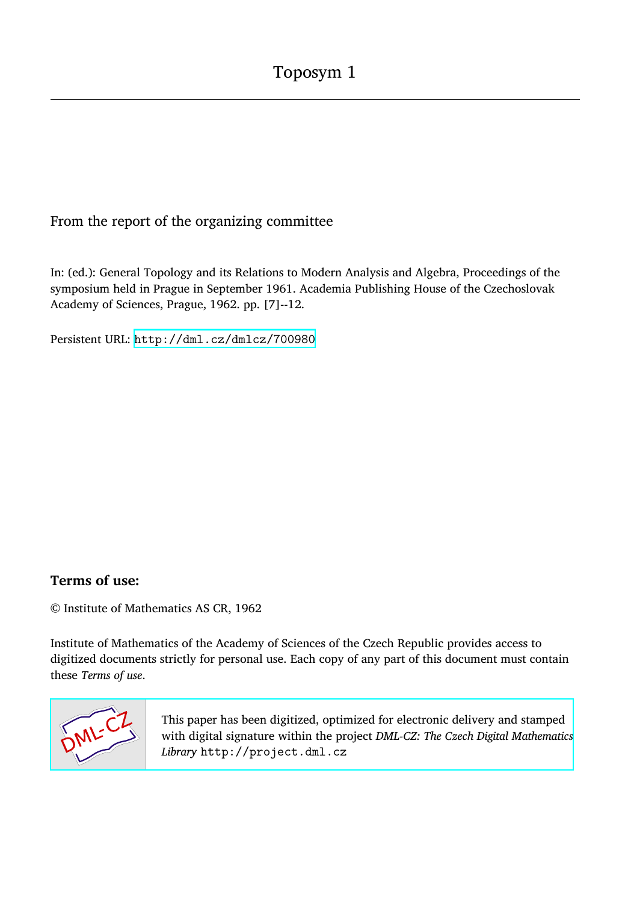## From the report of the organizing committee

In: (ed.): General Topology and its Relations to Modern Analysis and Algebra, Proceedings of the symposium held in Prague in September 1961. Academia Publishing House of the Czechoslovak Academy of Sciences, Prague, 1962. pp. [7]--12.

Persistent URL: <http://dml.cz/dmlcz/700980>

### **Terms of use:**

© Institute of Mathematics AS CR, 1962

Institute of Mathematics of the Academy of Sciences of the Czech Republic provides access to digitized documents strictly for personal use. Each copy of any part of this document must contain these *Terms of use*.



[This paper has been digitized, optimized for electronic delivery and stamped](http://project.dml.cz) with digital signature within the project *DML-CZ: The Czech Digital Mathematics Library* http://project.dml.cz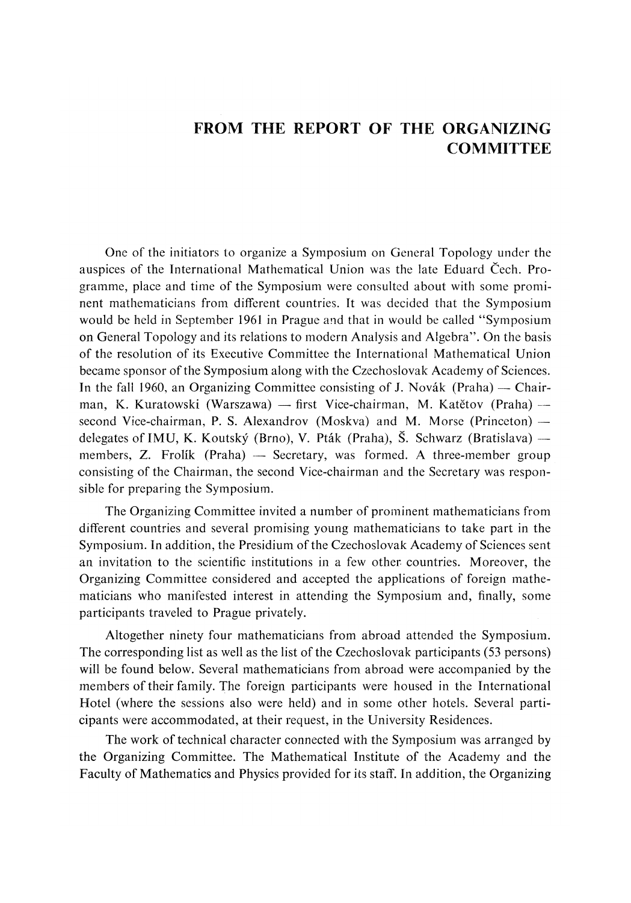# FROM THE REPORT OF THE ORGANIZING **COMMITTEE**

One of the initiators to organize a Symposium on General Topology under the auspices of the International Mathematical Union was the late Eduard Cech. Programme, place and time of the Symposium were consulted about with some prominent mathematicians from different countries. It was decided that the Symposium would be held in September 1961 in Prague and that in would be called "Symposium on General Topology and its relations to modern Analysis and Algebra". On the basis of the resolution of its Executive Committee the International Mathematical Union became sponsor of the Symposium along with the Czechoslovak Academy of Sciences. In the fall 1960, an Organizing Committee consisting of J. Novák (Praha) — Chairman, K. Kuratowski (Warszawa) — first Vice-chairman, M. Katětov (Praha) second Vice-chairman, P. S. Alexandrov (Moskva) and M. Morse (Princeton) delegates of IMU, K. Koutsky (Brno), V. Ptak (Praha), S. Schwarz (Bratislava) members, Z. Frolik (Praha) — Secretary, was formed. A three-member group consisting of the Chairman, the second Vice-chairman and the Secretary was responsible for preparing the Symposium.

The Organizing Committee invited a number of prominent mathematicians from different countries and several promising young mathematicians to take part in the Symposium. In addition, the Presidium of the Czechoslovak Academy of Sciences sent an invitation to the scientific institutions in a few other countries. Moreover, the Organizing Committee considered and accepted the applications of foreign mathematicians who manifested interest in attending the Symposium and, finally, some participants traveled to Prague privately.

Altogether ninety four mathematicians from abroad attended the Symposium. The corresponding list as well as the list of the Czechoslovak participants (53 persons) will be found below. Several mathematicians from abroad were accompanied by the members of their family. The foreign participants were housed in the International Hotel (where the sessions also were held) and in some other hotels. Several participants were accommodated, at their request, in the University Residences.

The work of technical character connected with the Symposium was arranged by the Organizing Committee. The Mathematical Institute of the Academy and the Faculty of Mathematics and Physics provided for its staff. In addition, the Organizing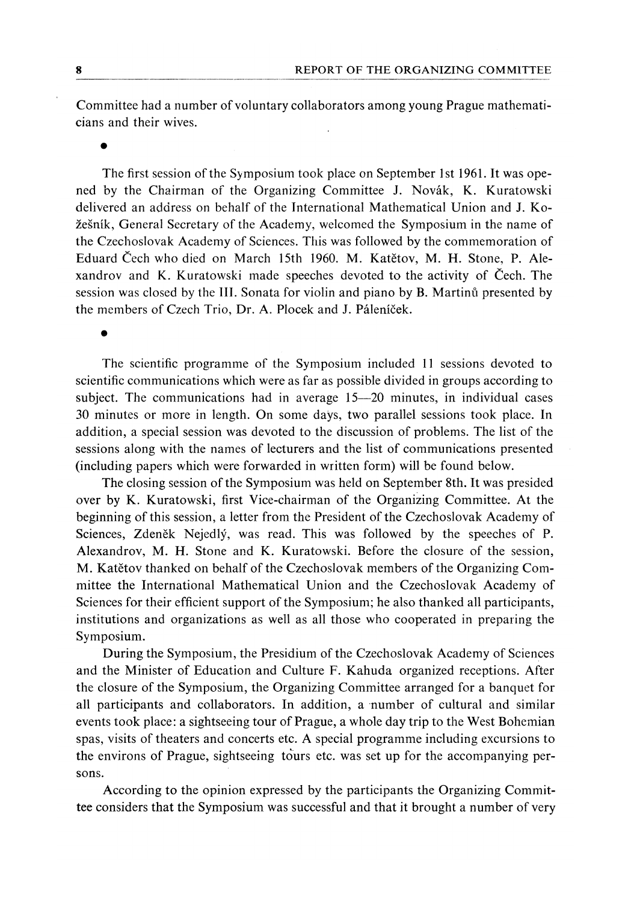Committee had a number of voluntary collaborators among young Prague mathematicians and their wives.

The first session of the Symposium took place on September 1st 1961. It was opened by the Chairman of the Organizing Committee J. Novák, K. Kuratowski delivered an address on behalf of the International Mathematical Union and J. Kožešník, General Secretary of the Academy, welcomed the Symposium in the name of the Czechoslovak Academy of Sciences. This was followed by the commemoration of Eduard Čech who died on March 15th 1960. M. Katětov, M. H. Stone, P. Alexandrov and K. Kuratowski made speeches devoted to the activity of Čech. The session was closed by the III. Sonata for violin and piano by B. Martinů presented by the members of Czech Trio, Dr. A. Plocek and J. Páleníček.

The scientific programme of the Symposium included 11 sessions devoted to scientific communications which were as far as possible divided in groups according to subject. The communications had in average 15—20 minutes, in individual cases 30 minutes or more in length. On some days, two parallel sessions took place. In addition, a special session was devoted to the discussion of problems. The list of the sessions along with the names of lecturers and the list of communications presented (including papers which were forwarded in written form) will be found below.

The closing session of the Symposium was held on September 8th. It was presided over by K. Kuratowski, first Vice-chairman of the Organizing Committee. At the beginning of this session, a letter from the President of the Czechoslovak Academy of Sciences, Zdeněk Nejedlý, was read. This was followed by the speeches of P. Alexandrov, M. H. Stone and K. Kuratowski. Before the closure of the session, M. Katětov thanked on behalf of the Czechoslovak members of the Organizing Committee the International Mathematical Union and the Czechoslovak Academy of Sciences for their efficient support of the Symposium; he also thanked all participants, institutions and organizations as well as all those who cooperated in preparing the Symposium.

During the Symposium, the Presidium of the Czechoslovak Academy of Sciences and the Minister of Education and Culture F. Kahuda organized receptions. After the closure of the Symposium, the Organizing Committee arranged for a banquet for all participants and collaborators. In addition, a number of cultural and similar events took place: a sightseeing tour of Prague, a whole day trip to the West Bohemian spas, visits of theaters and concerts etc. A special programme including excursions to the environs of Prague, sightseeing tours etc. was set up for the accompanying persons.

According to the opinion expressed by the participants the Organizing Committee considers that the Symposium was successful and that it brought a number of very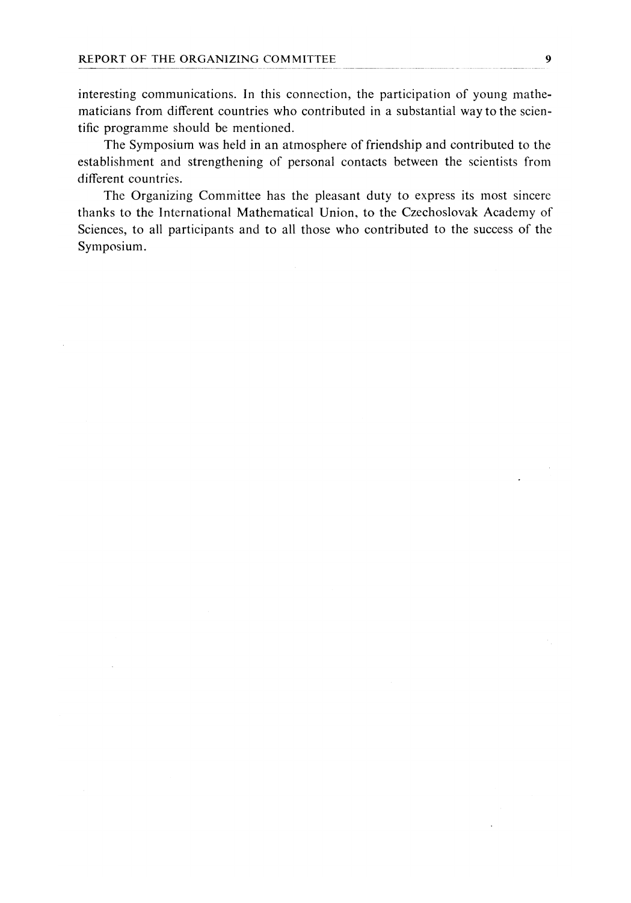interesting communications. In this connection, the participation of young mathematicians from different countries who contributed in a substantial way to the scientific programme should be mentioned.

The Symposium was held in an atmosphere of friendship and contributed to the establishment and strengthening of personal contacts between the scientists from different countries.

The Organizing Committee has the pleasant duty to express its most sincere thanks to the International Mathematical Union, to the Czechoslovak Academy of Sciences, to all participants and to all those who contributed to the success of the Symposium.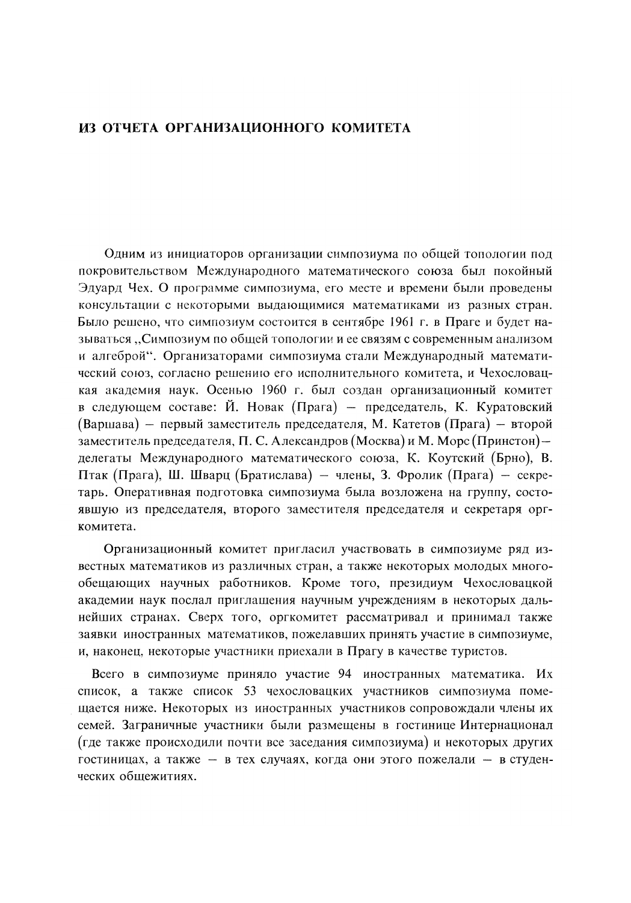#### из ОТЧЕТА ОРГАНИЗАЦИОННОГО КОМИТЕТА

Одним из инициаторов организации симпозиума по общей топологии под покровительством Международного математического союза был покойный Эдуард Чех. О программе симпозиума, его месте и времени были проведены консультации с некоторыми выдающимися математиками из разных стран. Было решено, что симпозиум состоится в сентябре 1961 г. в Праге и будет называться .. Симпозиум по общей топологии и ее связям с современным анализом и алгеброй"*.* Организаторами симпозиума стали Международный математический союз, согласно решению его исполнительного комитета, и Чехословацкая академия наук*.* Осенью 1960 г*.* был создан организационный комитет в следующем составе: Й. Новак (Прага) — председатель, К. Куратовский (Варшава) — первый заместитель председателя, М. Катетов (Прага) — второй заместитель председателя, П. С. Александров (Москва) и М. Морс (Принстон) делегаты Международного математического союза, К. Коутский (Брно), В. Птак (Прага), Ш. Шварц (Братислава) — члены, 3. Фролик (Прага) — секретарь. Оперативная подготовка симпозиума была возложена на группу, состоявшую из председателя, второго заместителя председателя и секретаря оргкомитета.

Организационный комитет пригласил участвовать в симпозиуме ряд известных математиков из различных стран, а также некоторых молодых многообещающих научных работников. Кроме того, президиум Чехословацкой академии наук послал приглашения научным учреждениям в некоторых дальнейших странах. Сверх того, оргкомитет рассматривал и принимал также заявки иностранных математиков, пожелавших принять участие в симпозиуме, и, наконец, некоторые участники приехали в Прагу в качестве туристов.

Всего в симпозиуме приняло участие 94 иностранных математика. Их список, а также список 53 чехословацких участников симпозиума помещается ниже. Некоторых из иностранных участников сопровождали члены их семей. Заграничные участники были размещены в гостинице Интернационал (где также происходили почти все заседания симпозиума) и некоторых других гостиницах, а также — в тех случаях, когда они этого пожелали — в студенческих общежитиях.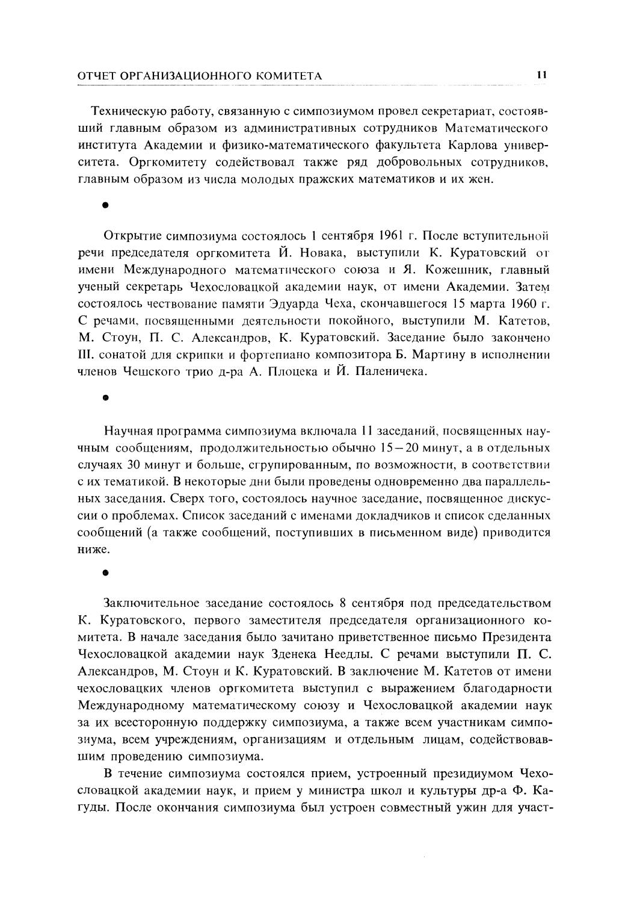Техническую работу, связанную с симпозиумом провел секретариат, состоявший главным образом из административных сотрудников Математического института Академии и физико-математического факультета Карлова университета*.* Оргкомитету содействовал также ряд добровольных сотрудников, главным образом из числа молодых пражских математиков и их жен*.* 

Открытие симпозиума состоялось 1 сентября 1961 г*.* После вступительной речи председателя оргкомитета Й*.* Новака, выступили К*.* Куратовский от имени Международного математического союза и Я*.* Кожешник, главный ученый секретарь Чехословацкой академии наук, от имени Академии*.* Затем состоялось чествование памяти Эдуарда Чеха, скончавшегося 15 марта 1960 г*.*  С речами, посвященными деятельности покойного, выступили М*.* Катетов, М. Стоун, П. С. Александров, К. Куратовский*.* Заседание было закончено III. сонатой для скрипки и фортепиано композитора Б. Мартину в исполнении членов Чешского трио д-ра А. Плоцека и Й. Паленичека.

Научная программа симпозиума включала 11 заседаний, посвященных научным сообщениям, продолжительностью обычно 15 — 20 минут, а в отдельных случаях 30 минут и больше, сгрупированным, по возможности, в соответствии с их тематикой. В некоторые дни были проведены одновременно два параллельных заседания. Сверх того, состоялось научное заседание, посвященное дискуссии о проблемах*.* Список заседаний с именами докладчиков и список сделанных сообщений (а также сообщений, поступивших в письменном виде) приводится ниже*.* 

Заключительное заседание состоялось 8 сентября под председательством К*.* Куратовского, первого заместителя председателя организационного комитета*.* В начале заседания было зачитано приветственное письмо Президента Чехословацкой академии наук Зденека Неедлы. С речами выступили П. С. Александров, М. Стоун и К. Куратовский. В заключение М. Катетов от имени чехословацких членов оргкомитета выступил с выражением благодарности Международному математическому союзу и Чехословацкой академии наук за их всесторонную поддержку симпозиума, а также всем участникам симпозиума, всем учреждениям, организациям и отдельным лицам, содействовавшим проведению симпозиума.

В течение симпозиума состоялся прием, устроенный президиумом Чехословацкой академии наук, и прием у министра школ и культуры Др-а Ф. Кагуды. После окончания симпозиума был устроен совместный ужин для участ